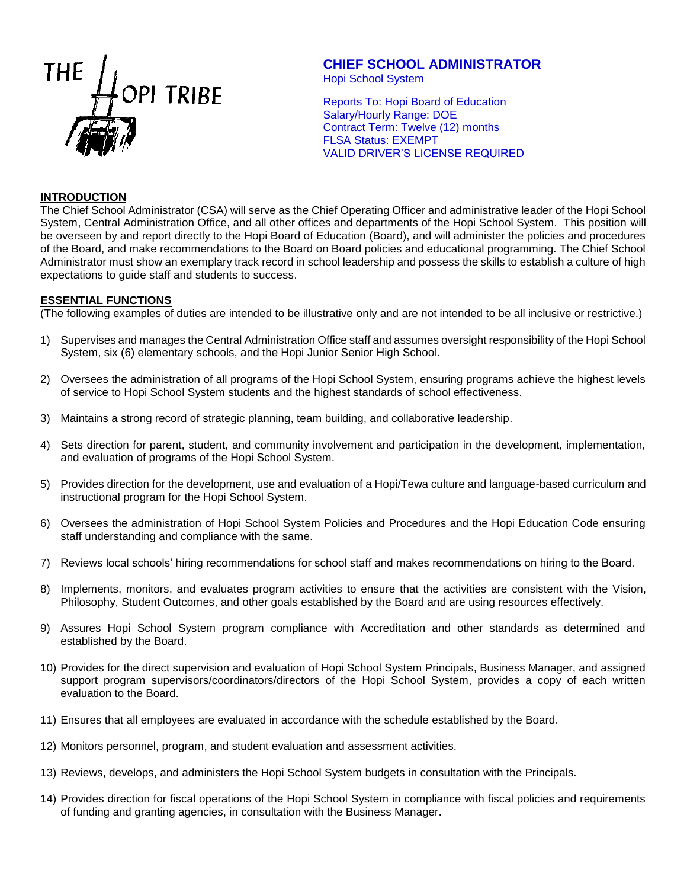

# **CHIEF SCHOOL ADMINISTRATOR**

Hopi School System

Reports To: Hopi Board of Education Salary/Hourly Range: DOE Contract Term: Twelve (12) months FLSA Status: EXEMPT VALID DRIVER'S LICENSE REQUIRED

# **INTRODUCTION**

The Chief School Administrator (CSA) will serve as the Chief Operating Officer and administrative leader of the Hopi School System, Central Administration Office, and all other offices and departments of the Hopi School System. This position will be overseen by and report directly to the Hopi Board of Education (Board), and will administer the policies and procedures of the Board, and make recommendations to the Board on Board policies and educational programming. The Chief School Administrator must show an exemplary track record in school leadership and possess the skills to establish a culture of high expectations to guide staff and students to success.

# **ESSENTIAL FUNCTIONS**

(The following examples of duties are intended to be illustrative only and are not intended to be all inclusive or restrictive.)

- 1) Supervises and manages the Central Administration Office staff and assumes oversight responsibility of the Hopi School System, six (6) elementary schools, and the Hopi Junior Senior High School.
- 2) Oversees the administration of all programs of the Hopi School System, ensuring programs achieve the highest levels of service to Hopi School System students and the highest standards of school effectiveness.
- 3) Maintains a strong record of strategic planning, team building, and collaborative leadership.
- 4) Sets direction for parent, student, and community involvement and participation in the development, implementation, and evaluation of programs of the Hopi School System.
- 5) Provides direction for the development, use and evaluation of a Hopi/Tewa culture and language-based curriculum and instructional program for the Hopi School System.
- 6) Oversees the administration of Hopi School System Policies and Procedures and the Hopi Education Code ensuring staff understanding and compliance with the same.
- 7) Reviews local schools' hiring recommendations for school staff and makes recommendations on hiring to the Board.
- 8) Implements, monitors, and evaluates program activities to ensure that the activities are consistent with the Vision, Philosophy, Student Outcomes, and other goals established by the Board and are using resources effectively.
- 9) Assures Hopi School System program compliance with Accreditation and other standards as determined and established by the Board.
- 10) Provides for the direct supervision and evaluation of Hopi School System Principals, Business Manager, and assigned support program supervisors/coordinators/directors of the Hopi School System, provides a copy of each written evaluation to the Board.
- 11) Ensures that all employees are evaluated in accordance with the schedule established by the Board.
- 12) Monitors personnel, program, and student evaluation and assessment activities.
- 13) Reviews, develops, and administers the Hopi School System budgets in consultation with the Principals.
- 14) Provides direction for fiscal operations of the Hopi School System in compliance with fiscal policies and requirements of funding and granting agencies, in consultation with the Business Manager.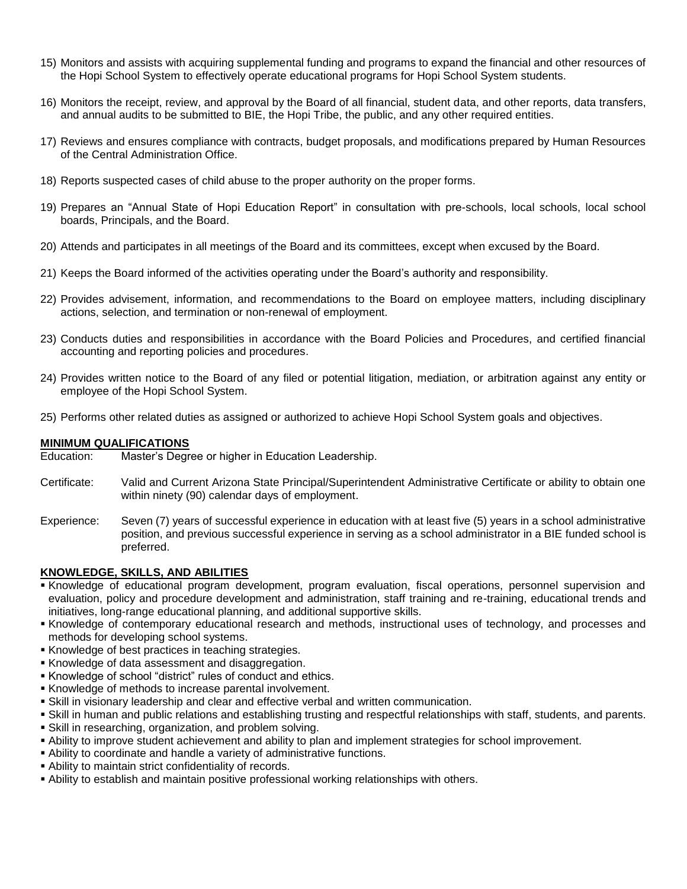- 15) Monitors and assists with acquiring supplemental funding and programs to expand the financial and other resources of the Hopi School System to effectively operate educational programs for Hopi School System students.
- 16) Monitors the receipt, review, and approval by the Board of all financial, student data, and other reports, data transfers, and annual audits to be submitted to BIE, the Hopi Tribe, the public, and any other required entities.
- 17) Reviews and ensures compliance with contracts, budget proposals, and modifications prepared by Human Resources of the Central Administration Office.
- 18) Reports suspected cases of child abuse to the proper authority on the proper forms.
- 19) Prepares an "Annual State of Hopi Education Report" in consultation with pre-schools, local schools, local school boards, Principals, and the Board.
- 20) Attends and participates in all meetings of the Board and its committees, except when excused by the Board.
- 21) Keeps the Board informed of the activities operating under the Board's authority and responsibility.
- 22) Provides advisement, information, and recommendations to the Board on employee matters, including disciplinary actions, selection, and termination or non-renewal of employment.
- 23) Conducts duties and responsibilities in accordance with the Board Policies and Procedures, and certified financial accounting and reporting policies and procedures.
- 24) Provides written notice to the Board of any filed or potential litigation, mediation, or arbitration against any entity or employee of the Hopi School System.
- 25) Performs other related duties as assigned or authorized to achieve Hopi School System goals and objectives.

#### **MINIMUM QUALIFICATIONS**

Education: Master's Degree or higher in Education Leadership.

- Certificate: Valid and Current Arizona State Principal/Superintendent Administrative Certificate or ability to obtain one within ninety (90) calendar days of employment.
- Experience: Seven (7) years of successful experience in education with at least five (5) years in a school administrative position, and previous successful experience in serving as a school administrator in a BIE funded school is preferred.

# **KNOWLEDGE, SKILLS, AND ABILITIES**

- Knowledge of educational program development, program evaluation, fiscal operations, personnel supervision and evaluation, policy and procedure development and administration, staff training and re-training, educational trends and initiatives, long-range educational planning, and additional supportive skills.
- Knowledge of contemporary educational research and methods, instructional uses of technology, and processes and methods for developing school systems.
- Knowledge of best practices in teaching strategies.
- **Knowledge of data assessment and disaggregation.**
- Knowledge of school "district" rules of conduct and ethics.
- Knowledge of methods to increase parental involvement.
- Skill in visionary leadership and clear and effective verbal and written communication.
- Skill in human and public relations and establishing trusting and respectful relationships with staff, students, and parents.
- Skill in researching, organization, and problem solving.
- Ability to improve student achievement and ability to plan and implement strategies for school improvement.
- Ability to coordinate and handle a variety of administrative functions.
- Ability to maintain strict confidentiality of records.
- Ability to establish and maintain positive professional working relationships with others.